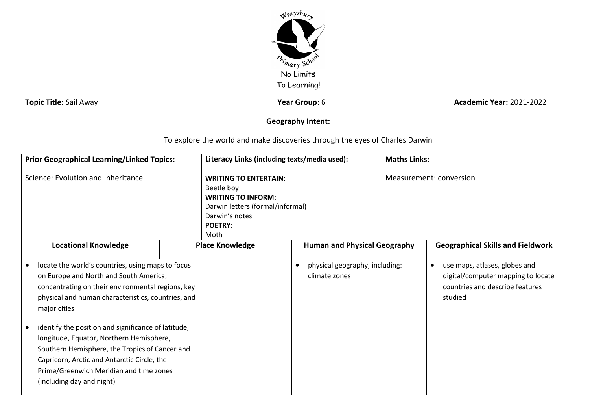

**Topic Title:** Sail Away **Year Group**: 6 *Year Group***: 6 <b>Academic Year:** 2021-2022

## **Geography Intent:**

To explore the world and make discoveries through the eyes of Charles Darwin

| <b>Prior Geographical Learning/Linked Topics:</b>                                                                                                                                                                                                                                                                                                                                                                                                                                                  |  | Literacy Links (including texts/media used):                                                                                                            |                                                 | <b>Maths Links:</b>     |                                                                                                                                |
|----------------------------------------------------------------------------------------------------------------------------------------------------------------------------------------------------------------------------------------------------------------------------------------------------------------------------------------------------------------------------------------------------------------------------------------------------------------------------------------------------|--|---------------------------------------------------------------------------------------------------------------------------------------------------------|-------------------------------------------------|-------------------------|--------------------------------------------------------------------------------------------------------------------------------|
| Science: Evolution and Inheritance                                                                                                                                                                                                                                                                                                                                                                                                                                                                 |  | <b>WRITING TO ENTERTAIN:</b><br>Beetle boy<br><b>WRITING TO INFORM:</b><br>Darwin letters (formal/informal)<br>Darwin's notes<br><b>POETRY:</b><br>Moth |                                                 | Measurement: conversion |                                                                                                                                |
| <b>Locational Knowledge</b>                                                                                                                                                                                                                                                                                                                                                                                                                                                                        |  | <b>Place Knowledge</b>                                                                                                                                  | <b>Human and Physical Geography</b>             |                         | <b>Geographical Skills and Fieldwork</b>                                                                                       |
| locate the world's countries, using maps to focus<br>on Europe and North and South America,<br>concentrating on their environmental regions, key<br>physical and human characteristics, countries, and<br>major cities<br>identify the position and significance of latitude,<br>longitude, Equator, Northern Hemisphere,<br>Southern Hemisphere, the Tropics of Cancer and<br>Capricorn, Arctic and Antarctic Circle, the<br>Prime/Greenwich Meridian and time zones<br>(including day and night) |  |                                                                                                                                                         | physical geography, including:<br>climate zones |                         | use maps, atlases, globes and<br>$\bullet$<br>digital/computer mapping to locate<br>countries and describe features<br>studied |